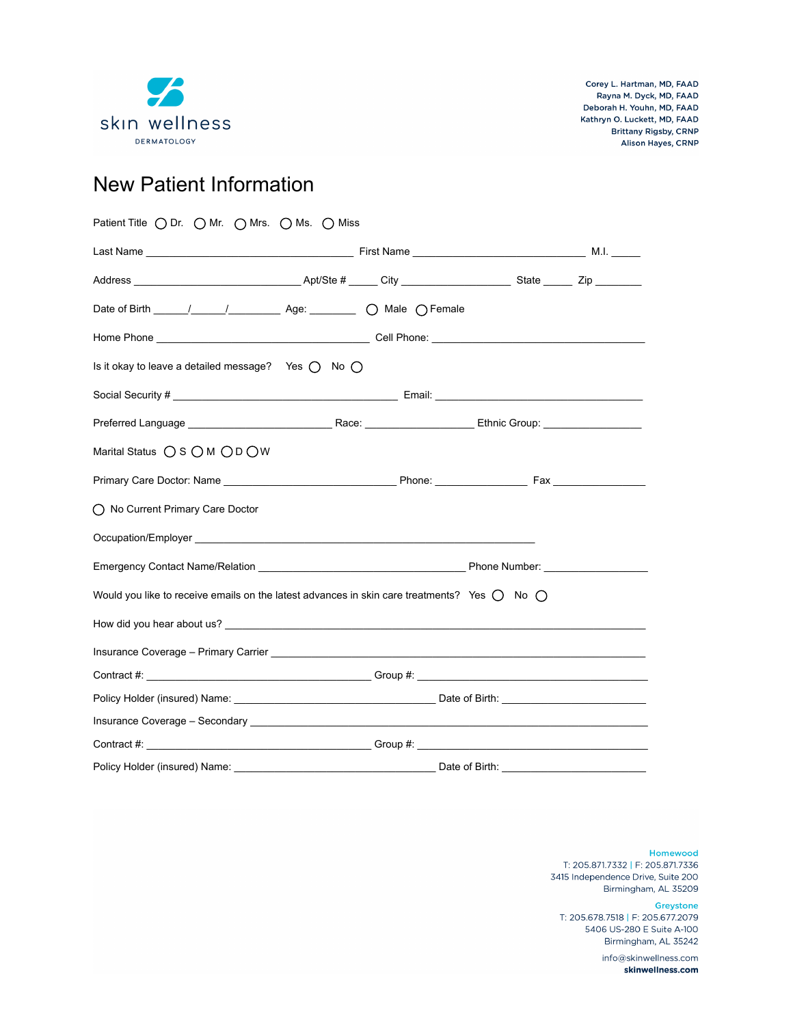

# New Patient Information

| Patient Title O Dr. O Mr. O Mrs. O Ms. O Miss                                                                            |                |
|--------------------------------------------------------------------------------------------------------------------------|----------------|
|                                                                                                                          |                |
|                                                                                                                          |                |
|                                                                                                                          |                |
|                                                                                                                          |                |
| Is it okay to leave a detailed message? Yes $\bigcap$ No $\bigcap$                                                       |                |
|                                                                                                                          |                |
|                                                                                                                          |                |
| Marital Status $\bigcirc$ S $\bigcirc$ M $\bigcirc$ D $\bigcirc$ W                                                       |                |
|                                                                                                                          |                |
| ◯ No Current Primary Care Doctor                                                                                         |                |
|                                                                                                                          |                |
|                                                                                                                          |                |
| Would you like to receive emails on the latest advances in skin care treatments? Yes $\bigcap$ No $\bigcap$              |                |
|                                                                                                                          |                |
| Insurance Coverage - Primary Carrier <b>Community Community Community Community Community</b> Coverage - Primary Carrier |                |
|                                                                                                                          |                |
|                                                                                                                          |                |
|                                                                                                                          |                |
|                                                                                                                          |                |
| Policy Holder (insured) Name:                                                                                            | Date of Birth: |

Homewood T: 205.871.7332 | F: 205.871.7336 3415 Independence Drive, Suite 200

Birmingham, AL 35209 Greystone T: 205.678.7518 | F: 205.677.2079 5406 US-280 E Suite A-100

Birmingham, AL 35242 info@skinwellness.com

skinwellness.com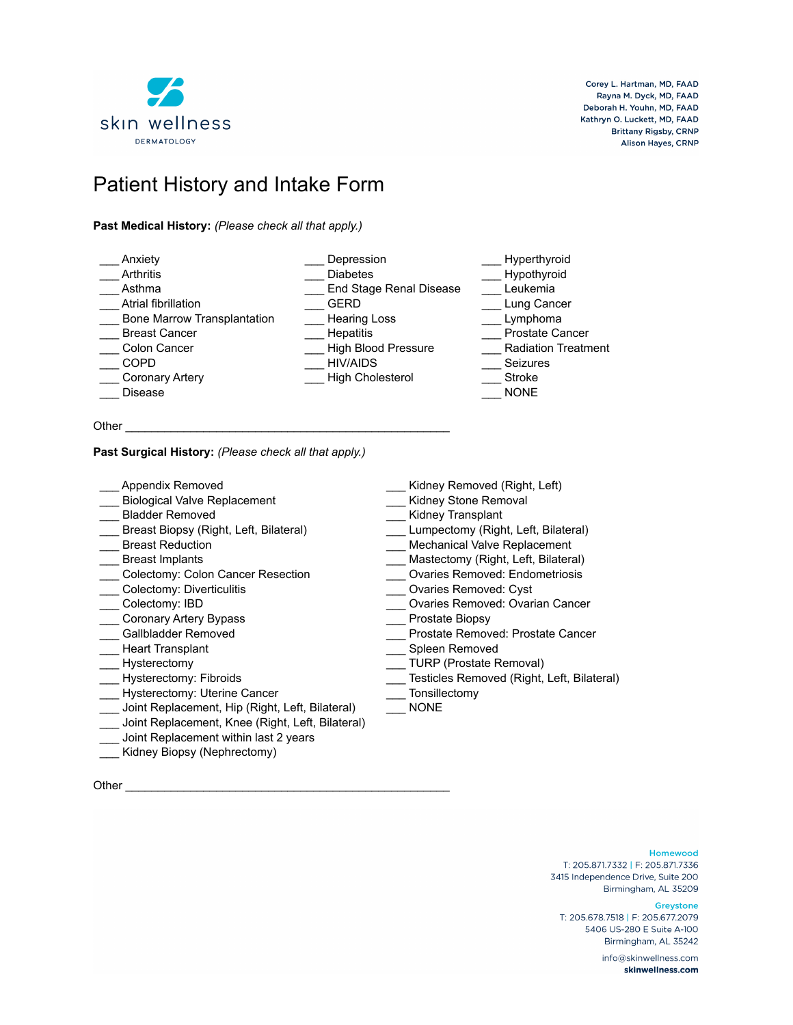

# Patient History and Intake Form

### **Past Medical History:** *(Please check all that apply.)*

| Anxiety                            | Depression                 | Hyperthyroid               |
|------------------------------------|----------------------------|----------------------------|
| Arthritis                          | <b>Diabetes</b>            | Hypothyroid                |
| Asthma                             | End Stage Renal Disease    | Leukemia                   |
| Atrial fibrillation                | <b>GERD</b>                | Lung Cancer                |
| <b>Bone Marrow Transplantation</b> | <b>Hearing Loss</b>        | Lymphoma                   |
| <b>Breast Cancer</b>               | <b>Hepatitis</b>           | <b>Prostate Cancer</b>     |
| Colon Cancer                       | <b>High Blood Pressure</b> | <b>Radiation Treatment</b> |
| <b>COPD</b>                        | <b>HIV/AIDS</b>            | <b>Seizures</b>            |
| <b>Coronary Artery</b>             | <b>High Cholesterol</b>    | Stroke                     |
| <b>Disease</b>                     |                            | <b>NONE</b>                |
|                                    |                            |                            |

Other \_\_\_\_\_\_\_\_\_\_\_\_\_\_\_\_\_\_\_\_\_\_\_\_\_\_\_\_\_\_\_\_\_\_\_\_\_\_\_\_\_\_\_\_\_\_\_\_\_\_

### **Past Surgical History:** *(Please check all that apply.)*

| Appendix Removed                                 | Kidney Removed (Right, Left)               |
|--------------------------------------------------|--------------------------------------------|
| <b>Biological Valve Replacement</b>              | Kidney Stone Removal                       |
| <b>Bladder Removed</b>                           | Kidney Transplant                          |
| Breast Biopsy (Right, Left, Bilateral)           | Lumpectomy (Right, Left, Bilateral)        |
| <b>Breast Reduction</b>                          | Mechanical Valve Replacement               |
| <b>Breast Implants</b>                           | Mastectomy (Right, Left, Bilateral)        |
| Colectomy: Colon Cancer Resection                | <b>Ovaries Removed: Endometriosis</b>      |
| Colectomy: Diverticulitis                        | <b>Ovaries Removed: Cyst</b>               |
| Colectomy: IBD                                   | Ovaries Removed: Ovarian Cancer            |
| <b>Coronary Artery Bypass</b>                    | Prostate Biopsy                            |
| Gallbladder Removed                              | Prostate Removed: Prostate Cancer          |
| <b>Heart Transplant</b>                          | Spleen Removed                             |
| Hysterectomy                                     | <b>TURP (Prostate Removal)</b>             |
| Hysterectomy: Fibroids                           | Testicles Removed (Right, Left, Bilateral) |
| Hysterectomy: Uterine Cancer                     | Tonsillectomy                              |
| Joint Replacement, Hip (Right, Left, Bilateral)  | <b>NONE</b>                                |
| Joint Replacement, Knee (Right, Left, Bilateral) |                                            |
| Joint Replacement within last 2 years            |                                            |

Other \_\_\_\_\_\_\_\_\_\_\_\_\_\_\_\_\_\_\_\_\_\_\_\_\_\_\_\_\_\_\_\_\_\_\_\_\_\_\_\_\_\_\_\_\_\_\_\_\_\_

\_\_\_ Kidney Biopsy (Nephrectomy)

### Homewood

T: 205.871.7332 | F: 205.871.7336 3415 Independence Drive, Suite 200 Birmingham, AL 35209

#### Greystone

T: 205.678.7518 | F: 205.677.2079 5406 US-280 E Suite A-100 Birmingham, AL 35242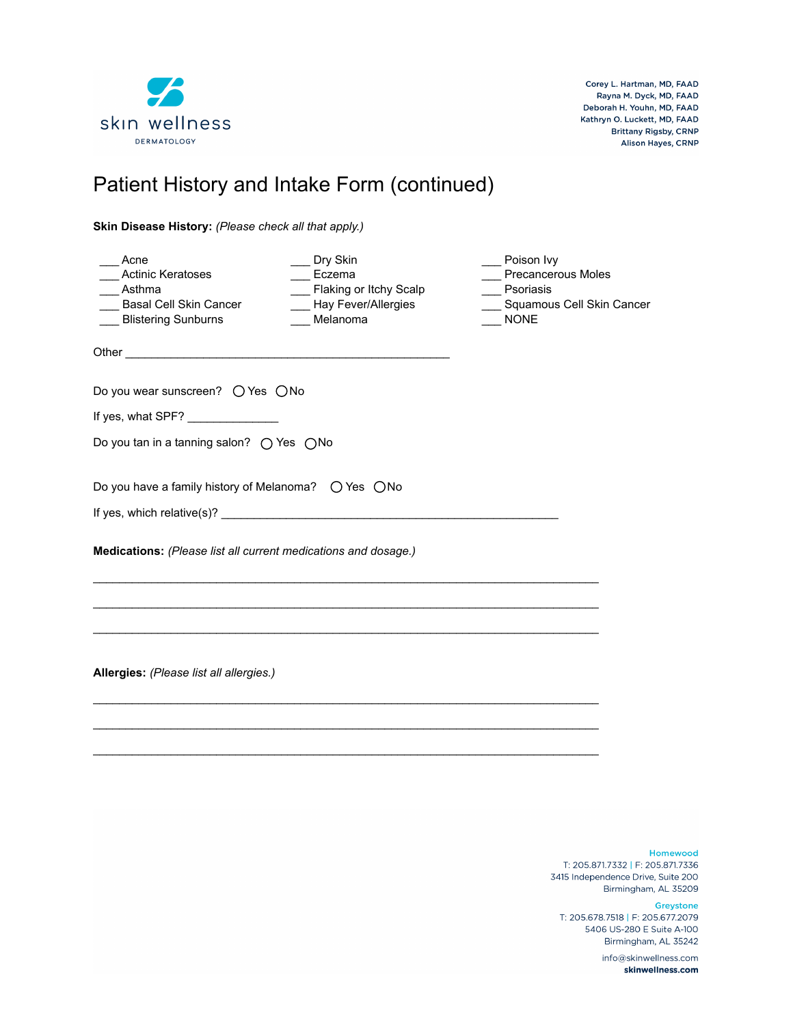

# Patient History and Intake Form (continued)

**Skin Disease History:** *(Please check all that apply.)*

| Acne<br><b>Actinic Keratoses</b><br>Asthma<br><b>Basal Cell Skin Cancer</b><br><b>Blistering Sunburns</b> | Dry Skin<br>Eczema<br>Flaking or Itchy Scalp<br>__ Hay Fever/Allergies<br>Melanoma | Poison Ivy<br><b>Precancerous Moles</b><br>Psoriasis<br>Squamous Cell Skin Cancer<br><b>NONE</b> |  |  |  |
|-----------------------------------------------------------------------------------------------------------|------------------------------------------------------------------------------------|--------------------------------------------------------------------------------------------------|--|--|--|
|                                                                                                           |                                                                                    |                                                                                                  |  |  |  |
| Do you wear sunscreen? $\bigcirc$ Yes $\bigcirc$ No                                                       |                                                                                    |                                                                                                  |  |  |  |
| If yes, what SPF? _______________                                                                         |                                                                                    |                                                                                                  |  |  |  |
| Do you tan in a tanning salon? ( Yes ( No                                                                 |                                                                                    |                                                                                                  |  |  |  |
| Do you have a family history of Melanoma? $\circlearrowright$ Yes $\circlearrowright$ No                  |                                                                                    |                                                                                                  |  |  |  |
|                                                                                                           |                                                                                    |                                                                                                  |  |  |  |
| Medications: (Please list all current medications and dosage.)                                            |                                                                                    |                                                                                                  |  |  |  |
|                                                                                                           |                                                                                    |                                                                                                  |  |  |  |
|                                                                                                           |                                                                                    |                                                                                                  |  |  |  |
| Allergies: (Please list all allergies.)                                                                   |                                                                                    |                                                                                                  |  |  |  |
|                                                                                                           |                                                                                    |                                                                                                  |  |  |  |
|                                                                                                           |                                                                                    |                                                                                                  |  |  |  |

Homewood

T: 205.871.7332 | F: 205.871.7336 3415 Independence Drive, Suite 200 Birmingham, AL 35209

Greystone

T: 205.678.7518 | F: 205.677.2079 5406 US-280 E Suite A-100 Birmingham, AL 35242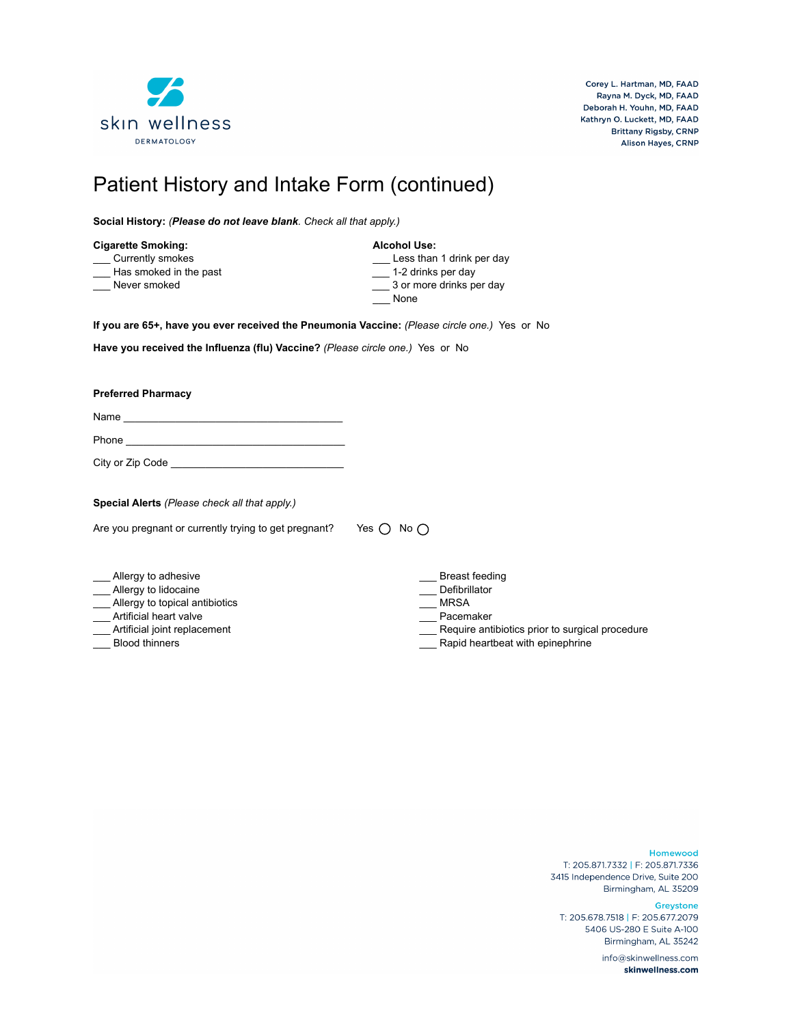

# Patient History and Intake Form (continued)

**Social History:** *(Please do not leave blank. Check all that apply.)*

| <b>Cigarette Smoking:</b> | <b>Alcohol Use:</b>       |
|---------------------------|---------------------------|
| Currently smokes          | Less than 1 drink per day |
| Has smoked in the past    | 1-2 drinks per day        |
| Never smoked              | 3 or more drinks per day  |
|                           | None                      |

**If you are 65+, have you ever received the Pneumonia Vaccine:** *(Please circle one.)* Yes or No

**Have you received the Influenza (flu) Vaccine?** *(Please circle one.)* Yes or No

**Preferred Pharmacy** 

Name \_\_\_\_\_\_\_\_\_\_\_\_\_\_\_\_\_\_\_\_\_\_\_\_\_\_\_\_\_\_\_\_\_\_\_\_\_\_

Phone \_\_\_\_\_\_\_\_\_\_\_\_\_\_\_\_\_\_\_\_\_\_\_\_\_\_\_\_\_\_\_\_\_\_\_\_\_\_

City or Zip Code \_\_\_\_\_\_\_\_\_\_\_\_\_\_\_\_\_\_\_\_\_\_\_\_\_\_\_\_\_\_

**Special Alerts** *(Please check all that apply.)* 

Are you pregnant or currently trying to get pregnant? Yes  $\bigcirc$  No  $\bigcirc$ 

- \_ Allergy to adhesive
- \_\_\_ Allergy to lidocaine
- \_\_\_ Allergy to topical antibiotics
- \_\_\_ Artificial heart valve
- \_\_\_ Artificial joint replacement
- \_\_\_ Blood thinners
- \_\_\_ Breast feeding
- \_\_\_ Defibrillator
- \_\_\_ MRSA
- Pacemaker
- Require antibiotics prior to surgical procedure
- Rapid heartbeat with epinephrine

Homewood

T: 205.871.7332 | F: 205.871.7336 3415 Independence Drive, Suite 200 Birmingham, AL 35209

Greystone

T: 205.678.7518 | F: 205.677.2079 5406 US-280 E Suite A-100 Birmingham, AL 35242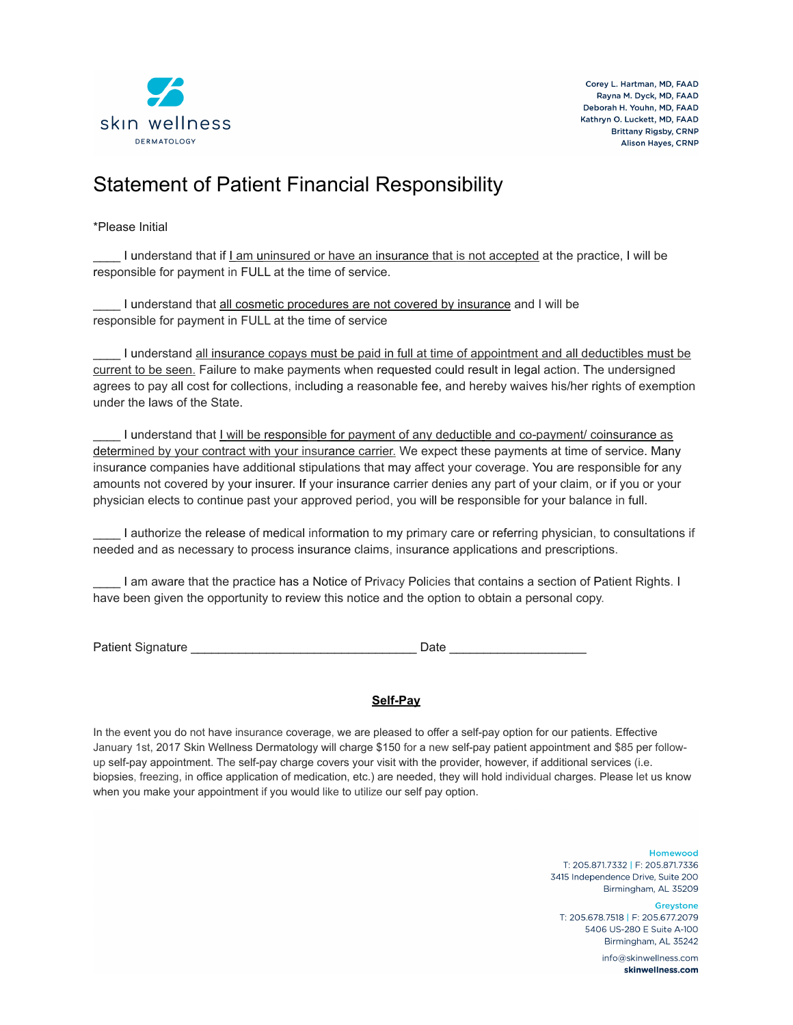

### Statement of Patient Financial Responsibility

### \*Please Initial

I understand that if Lam uninsured or have an insurance that is not accepted at the practice, I will be responsible for payment in FULL at the time of service.

I understand that all cosmetic procedures are not covered by insurance and I will be responsible for payment in FULL at the time of service

I understand all insurance copays must be paid in full at time of appointment and all deductibles must be current to be seen. Failure to make payments when requested could result in legal action. The undersigned agrees to pay all cost for collections, including a reasonable fee, and hereby waives his/her rights of exemption under the laws of the State.

I understand that I will be responsible for payment of any deductible and co-payment/ coinsurance as determined by your contract with your insurance carrier. We expect these payments at time of service. Many insurance companies have additional stipulations that may affect your coverage. You are responsible for any amounts not covered by your insurer. If your insurance carrier denies any part of your claim, or if you or your physician elects to continue past your approved period, you will be responsible for your balance in full.

\_\_\_\_ I authorize the release of medical information to my primary care or referring physician, to consultations if needed and as necessary to process insurance claims, insurance applications and prescriptions.

\_\_\_\_ I am aware that the practice has a Notice of Privacy Policies that contains a section of Patient Rights. I have been given the opportunity to review this notice and the option to obtain a personal copy.

Patient Signature \_\_\_\_\_\_\_\_\_\_\_\_\_\_\_\_\_\_\_\_\_\_\_\_\_\_\_\_\_\_\_\_\_ Date \_\_\_\_\_\_\_\_\_\_\_\_\_\_\_\_\_\_\_\_

### **Self-Pay**

In the event you do not have insurance coverage, we are pleased to offer a self-pay option for our patients. Effective January 1st, 2017 Skin Wellness Dermatology will charge \$150 for a new self-pay patient appointment and \$85 per followup self-pay appointment. The self-pay charge covers your visit with the provider, however, if additional services (i.e. biopsies, freezing, in office application of medication, etc.) are needed, they will hold individual charges. Please let us know when you make your appointment if you would like to utilize our self pay option.

> Homewood T: 205.871.7332 | F: 205.871.7336 3415 Independence Drive, Suite 200 Birmingham, AL 35209

Greystone T: 205.678.7518 | F: 205.677.2079 5406 US-280 E Suite A-100 Birmingham, AL 35242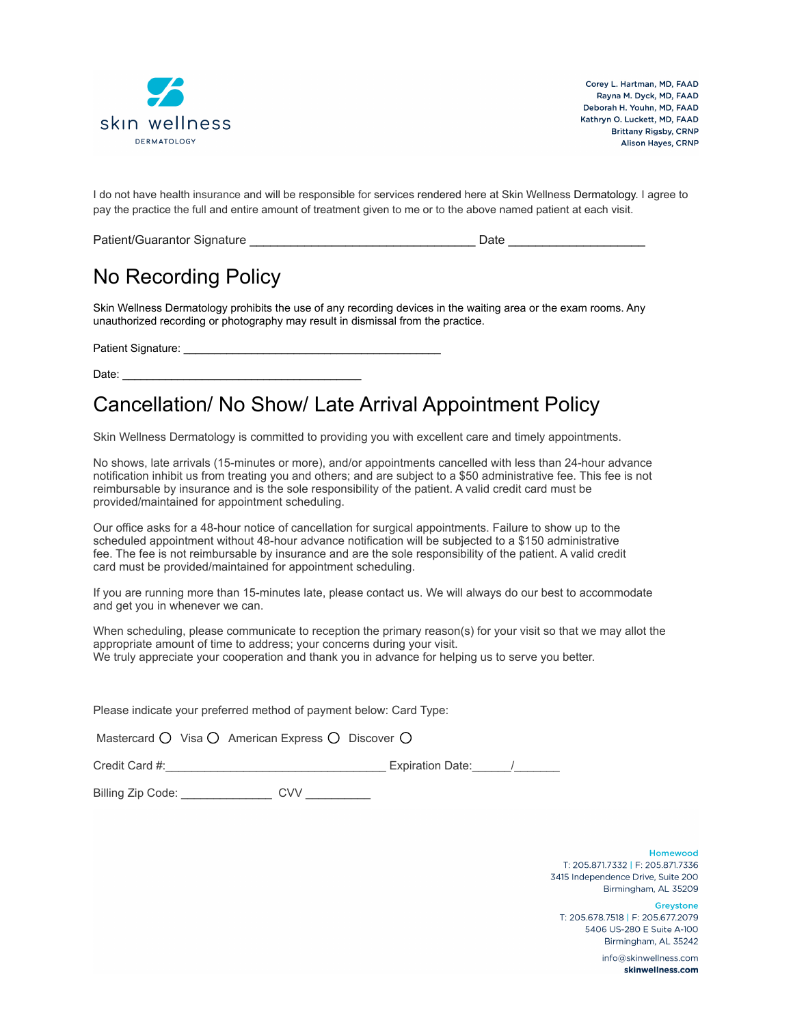

I do not have health insurance and will be responsible for services rendered here at Skin Wellness Dermatology. I agree to pay the practice the full and entire amount of treatment given to me or to the above named patient at each visit.

| Patient/Guarantor Signature | Date |
|-----------------------------|------|
|                             |      |

### No Recording Policy

Skin Wellness Dermatology prohibits the use of any recording devices in the waiting area or the exam rooms. Any unauthorized recording or photography may result in dismissal from the practice.

Patient Signature:

Date: \_\_\_\_\_\_\_\_\_\_\_\_\_\_\_\_\_\_\_\_\_\_\_\_\_\_\_\_\_\_\_\_\_\_\_\_\_\_\_

### Cancellation/ No Show/ Late Arrival Appointment Policy

Skin Wellness Dermatology is committed to providing you with excellent care and timely appointments.

No shows, late arrivals (15-minutes or more), and/or appointments cancelled with less than 24-hour advance notification inhibit us from treating you and others; and are subject to a \$50 administrative fee. This fee is not reimbursable by insurance and is the sole responsibility of the patient. A valid credit card must be provided/maintained for appointment scheduling.

Our office asks for a 48-hour notice of cancellation for surgical appointments. Failure to show up to the scheduled appointment without 48-hour advance notification will be subjected to a \$150 administrative fee. The fee is not reimbursable by insurance and are the sole responsibility of the patient. A valid credit card must be provided/maintained for appointment scheduling.

If you are running more than 15-minutes late, please contact us. We will always do our best to accommodate and get you in whenever we can.

When scheduling, please communicate to reception the primary reason(s) for your visit so that we may allot the appropriate amount of time to address; your concerns during your visit. We truly appreciate your cooperation and thank you in advance for helping us to serve you better.

Please indicate your preferred method of payment below: Card Type:

|  |  | Mastercard O Visa O American Express O Discover C |  |  |  |
|--|--|---------------------------------------------------|--|--|--|
|--|--|---------------------------------------------------|--|--|--|

Credit Card #:\_\_\_\_\_\_\_\_\_\_\_\_\_\_\_\_\_\_\_\_\_\_\_\_\_\_\_\_\_\_\_\_\_\_ Expiration Date:\_\_\_\_\_\_/\_\_\_\_\_\_\_

Billing Zip Code: example of CVV and CVV and CVV and CVV and CVV and CVV and CVV and CVV and CVV and CVV and CVV

Homewood T: 205.871.7332 | F: 205.871.7336 3415 Independence Drive, Suite 200 Birmingham, AL 35209

Greystone T: 205.678.7518 | F: 205.677.2079 5406 US-280 E Suite A-100 Birmingham, AI 35242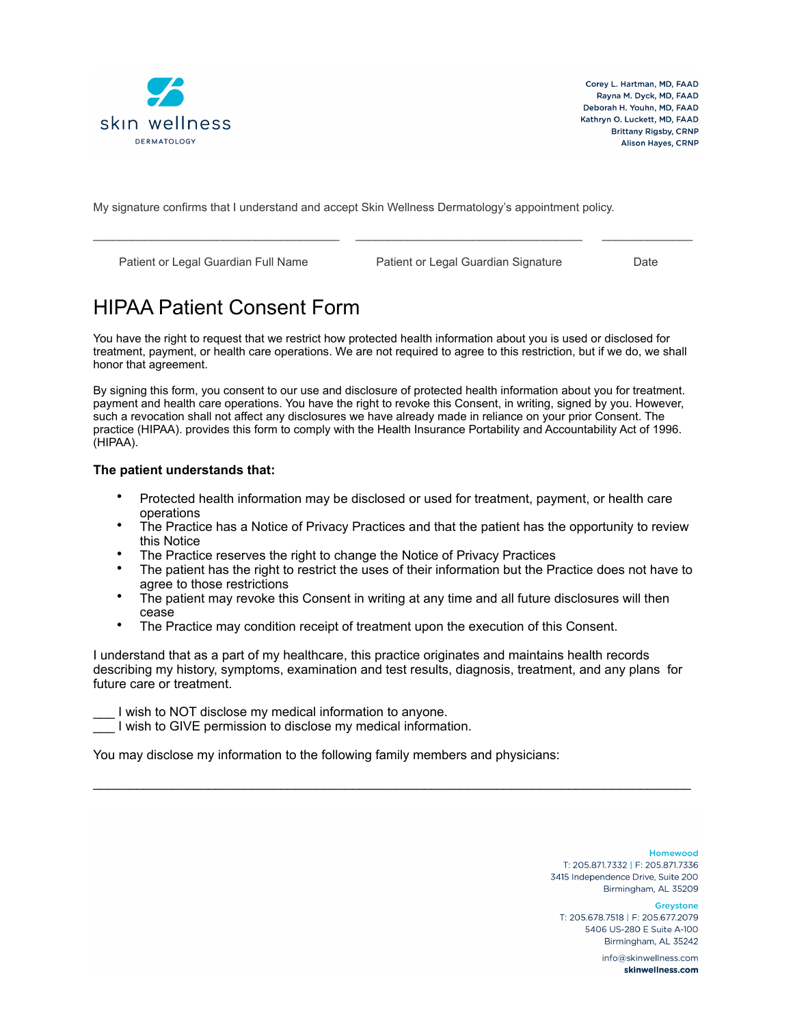

My signature confirms that I understand and accept Skin Wellness Dermatology's appointment policy.

Patient or Legal Guardian Full Name Patient or Legal Guardian Signature Date

# HIPAA Patient Consent Form

You have the right to request that we restrict how protected health information about you is used or disclosed for treatment, payment, or health care operations. We are not required to agree to this restriction, but if we do, we shall honor that agreement.

\_\_\_\_\_\_\_\_\_\_\_\_\_\_\_\_\_\_\_\_\_\_\_\_\_\_\_\_\_\_\_\_\_\_\_\_\_\_ \_\_\_\_\_\_\_\_\_\_\_\_\_\_\_\_\_\_\_\_\_\_\_\_\_\_\_\_\_\_\_\_\_\_\_ \_\_\_\_\_\_\_\_\_\_\_\_\_\_

By signing this form, you consent to our use and disclosure of protected health information about you for treatment. payment and health care operations. You have the right to revoke this Consent, in writing, signed by you. However, such a revocation shall not affect any disclosures we have already made in reliance on your prior Consent. The practice (HIPAA). provides this form to comply with the Health Insurance Portability and Accountability Act of 1996. (HIPAA).

### **The patient understands that:**

- Protected health information may be disclosed or used for treatment, payment, or health care operations
- The Practice has a Notice of Privacy Practices and that the patient has the opportunity to review this Notice
- The Practice reserves the right to change the Notice of Privacy Practices
- The patient has the right to restrict the uses of their information but the Practice does not have to agree to those restrictions
- The patient may revoke this Consent in writing at any time and all future disclosures will then cease
- The Practice may condition receipt of treatment upon the execution of this Consent.

I understand that as a part of my healthcare, this practice originates and maintains health records describing my history, symptoms, examination and test results, diagnosis, treatment, and any plans for future care or treatment.

 $\mathcal{L}_\mathcal{L} = \{ \mathcal{L}_\mathcal{L} = \{ \mathcal{L}_\mathcal{L} = \{ \mathcal{L}_\mathcal{L} = \{ \mathcal{L}_\mathcal{L} = \{ \mathcal{L}_\mathcal{L} = \{ \mathcal{L}_\mathcal{L} = \{ \mathcal{L}_\mathcal{L} = \{ \mathcal{L}_\mathcal{L} = \{ \mathcal{L}_\mathcal{L} = \{ \mathcal{L}_\mathcal{L} = \{ \mathcal{L}_\mathcal{L} = \{ \mathcal{L}_\mathcal{L} = \{ \mathcal{L}_\mathcal{L} = \{ \mathcal{L}_\mathcal{$ 

I wish to NOT disclose my medical information to anyone.

\_\_\_ I wish to GIVE permission to disclose my medical information.

You may disclose my information to the following family members and physicians:

Homewood T: 205.871.7332 | F: 205.871.7336 3415 Independence Drive, Suite 200 Birmingham, AL 35209

**Greystone** 

T: 205.678.7518 | F: 205.677.2079 5406 US-280 E Suite A-100 Birmingham, AI 35242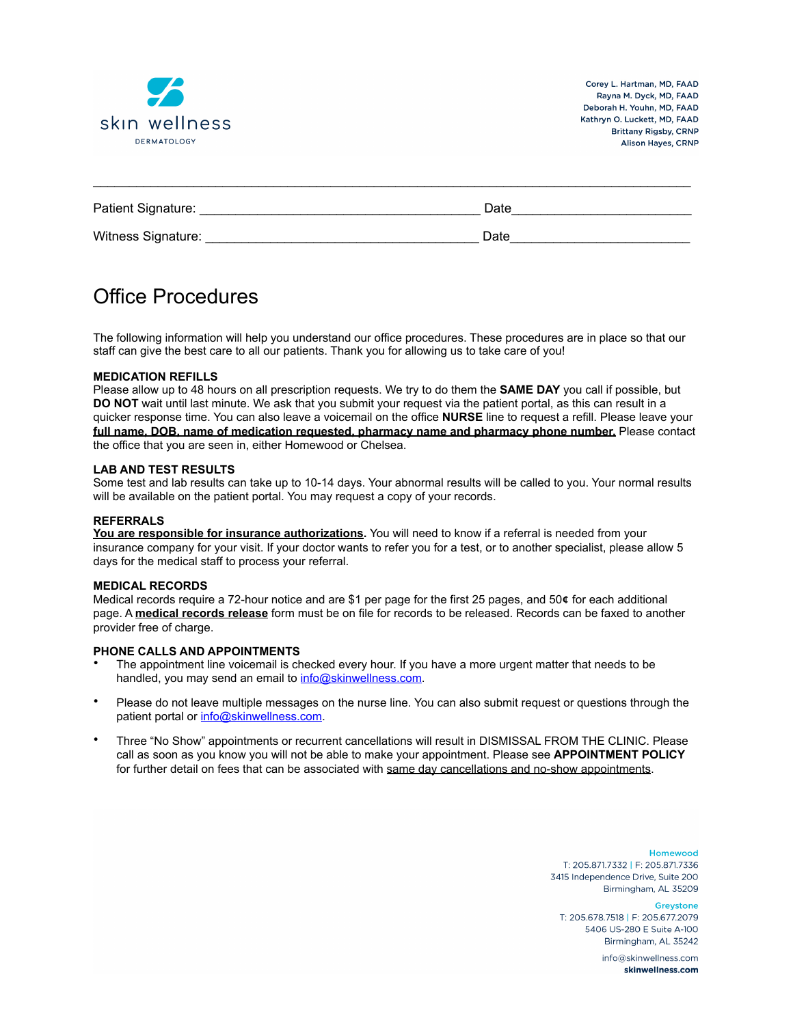

| Patient Signature: | Date |
|--------------------|------|
| Witness Signature: | Date |

 $\mathcal{L}_\text{max}$  , and the contribution of the contribution of the contribution of the contribution of the contribution of the contribution of the contribution of the contribution of the contribution of the contribution of t

### Office Procedures

The following information will help you understand our office procedures. These procedures are in place so that our staff can give the best care to all our patients. Thank you for allowing us to take care of you!

### **MEDICATION REFILLS**

Please allow up to 48 hours on all prescription requests. We try to do them the **SAME DAY** you call if possible, but **DO NOT** wait until last minute. We ask that you submit your request via the patient portal, as this can result in a quicker response time. You can also leave a voicemail on the office **NURSE** line to request a refill. Please leave your **full name, DOB, name of medication requested, pharmacy name and pharmacy phone number.** Please contact the office that you are seen in, either Homewood or Chelsea.

#### **LAB AND TEST RESULTS**

Some test and lab results can take up to 10-14 days. Your abnormal results will be called to you. Your normal results will be available on the patient portal. You may request a copy of your records.

#### **REFERRALS**

**You are responsible for insurance authorizations.** You will need to know if a referral is needed from your insurance company for your visit. If your doctor wants to refer you for a test, or to another specialist, please allow 5 days for the medical staff to process your referral.

### **MEDICAL RECORDS**

Medical records require a 72-hour notice and are \$1 per page for the first 25 pages, and 50**¢** for each additional page. A **medical records release** form must be on file for records to be released. Records can be faxed to another provider free of charge.

### **PHONE CALLS AND APPOINTMENTS**

- The appointment line voicemail is checked every hour. If you have a more urgent matter that needs to be handled, you may send an email to [info@skinwellness.com.](mailto:info@skinwellness.com)
- Please do not leave multiple messages on the nurse line. You can also submit request or questions through the patient portal or [info@skinwellness.com.](mailto:info@skinwellness.com)
- Three "No Show" appointments or recurrent cancellations will result in DISMISSAL FROM THE CLINIC. Please call as soon as you know you will not be able to make your appointment. Please see **APPOINTMENT POLICY** for further detail on fees that can be associated with same day cancellations and no-show appointments.

Homewood T: 205.871.7332 | F: 205.871.7336 3415 Independence Drive, Suite 200 Birmingham, AL 35209

Greystone T: 205.678.7518 | F: 205.677.2079 5406 US-280 E Suite A-100 Birmingham, Al. 35242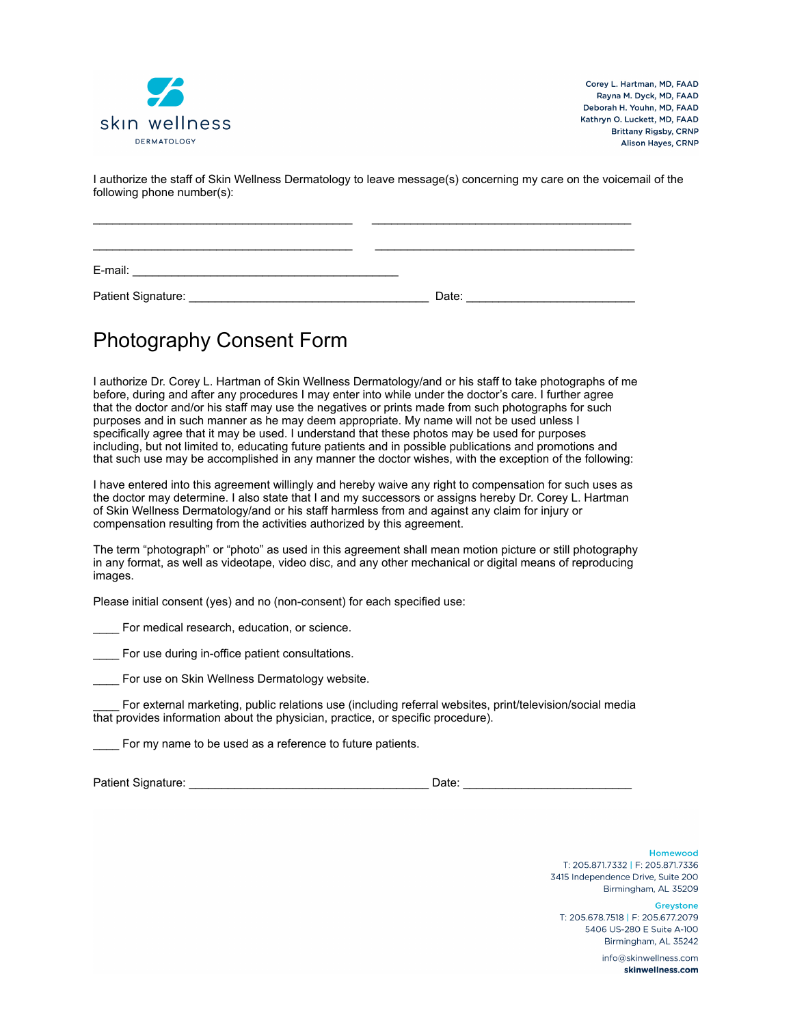

I authorize the staff of Skin Wellness Dermatology to leave message(s) concerning my care on the voicemail of the following phone number(s):

| E-mail:            |       |  |
|--------------------|-------|--|
| Patient Signature: | Date: |  |

## Photography Consent Form

I authorize Dr. Corey L. Hartman of Skin Wellness Dermatology/and or his staff to take photographs of me before, during and after any procedures I may enter into while under the doctor's care. I further agree that the doctor and/or his staff may use the negatives or prints made from such photographs for such purposes and in such manner as he may deem appropriate. My name will not be used unless I specifically agree that it may be used. I understand that these photos may be used for purposes including, but not limited to, educating future patients and in possible publications and promotions and that such use may be accomplished in any manner the doctor wishes, with the exception of the following:

I have entered into this agreement willingly and hereby waive any right to compensation for such uses as the doctor may determine. I also state that I and my successors or assigns hereby Dr. Corey L. Hartman of Skin Wellness Dermatology/and or his staff harmless from and against any claim for injury or compensation resulting from the activities authorized by this agreement.

The term "photograph" or "photo" as used in this agreement shall mean motion picture or still photography in any format, as well as videotape, video disc, and any other mechanical or digital means of reproducing images.

Please initial consent (yes) and no (non-consent) for each specified use:

For medical research, education, or science.

For use during in-office patient consultations.

For use on Skin Wellness Dermatology website.

\_\_\_\_ For external marketing, public relations use (including referral websites, print/television/social media that provides information about the physician, practice, or specific procedure).

**\_\_\_\_** For my name to be used as a reference to future patients.

Patient Signature: \_\_\_\_\_\_\_\_\_\_\_\_\_\_\_\_\_\_\_\_\_\_\_\_\_\_\_\_\_\_\_\_\_\_\_\_\_ Date: \_\_\_\_\_\_\_\_\_\_\_\_\_\_\_\_\_\_\_\_\_\_\_\_\_\_

Homewood T: 205.871.7332 | F: 205.871.7336 3415 Independence Drive, Suite 200 Birmingham, AL 35209

Greystone T: 205.678.7518 | F: 205.677.2079 5406 US-280 E Suite A-100

> Birmingham, AI 35242 info@skinwellness.com skinwellness.com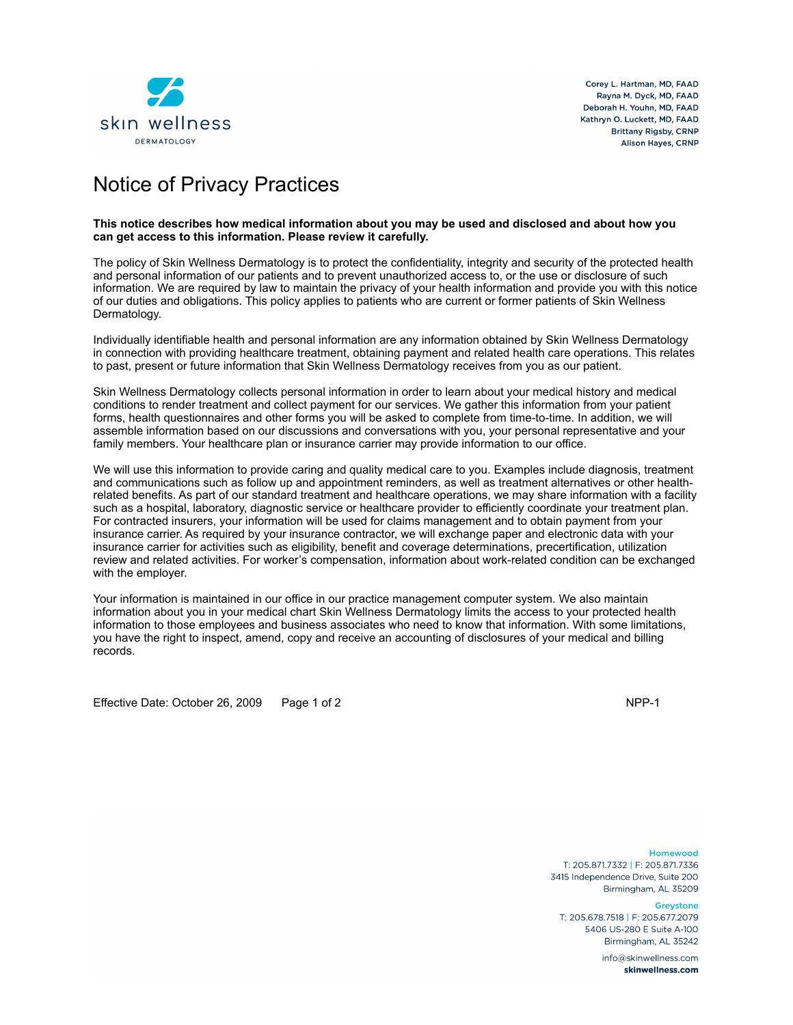

## Notice of Privacy Practices

#### **This notice describes how medical information about you may be used and disclosed and about how you can get access to this information. Please review it carefully.**

The policy of Skin Wellness Dermatology is to protect the confidentiality, integrity and security of the protected health and personal information of our patients and to prevent unauthorized access to, or the use or disclosure of such information. We are required by law to maintain the privacy of your health information and provide you with this notice of our duties and obligations. This policy applies to patients who are current or former patients of Skin Wellness Dermatology.

Individually identifiable health and personal information are any information obtained by Skin Wellness Dermatology in connection with providing healthcare treatment, obtaining payment and related health care operations. This relates to past, present or future information that Skin Wellness Dermatology receives from you as our patient.

Skin Wellness Dermatology collects personal information in order to learn about your medical history and medical conditions to render treatment and collect payment for our services. We gather this information from your patient forms, health questionnaires and other forms you will be asked to complete from time-to-time. In addition, we will assemble information based on our discussions and conversations with you, your personal representative and your family members. Your healthcare plan or insurance carrier may provide information to our office.

We will use this information to provide caring and quality medical care to you. Examples include diagnosis, treatment and communications such as follow up and appointment reminders, as well as treatment alternatives or other healthrelated benefits. As part of our standard treatment and healthcare operations, we may share information with a facility such as a hospital, laboratory, diagnostic service or healthcare provider to efficiently coordinate your treatment plan. For contracted insurers, your information will be used for claims management and to obtain payment from your insurance carrier. As required by your insurance contractor, we will exchange paper and electronic data with your insurance carrier for activities such as eligibility, benefit and coverage determinations, precertification, utilization review and related activities. For worker's compensation, information about work-related condition can be exchanged with the employer.

Your information is maintained in our office in our practice management computer system. We also maintain information about you in your medical chart Skin Wellness Dermatology limits the access to your protected health information to those employees and business associates who need to know that information. With some limitations, you have the right to inspect, amend, copy and receive an accounting of disclosures of your medical and billing records.

Effective Date: October 26, 2009 Page 1 of 2 NPP-1

Homewood T: 205.871.7332 | F: 205.871.7336 3415 Independence Drive, Suite 200 Birmingham, AL 35209

**Greystone** 

T: 205.678.7518 | F: 205.677.2079 5406 US-280 E Suite A-100 Birmingham, Al. 35242